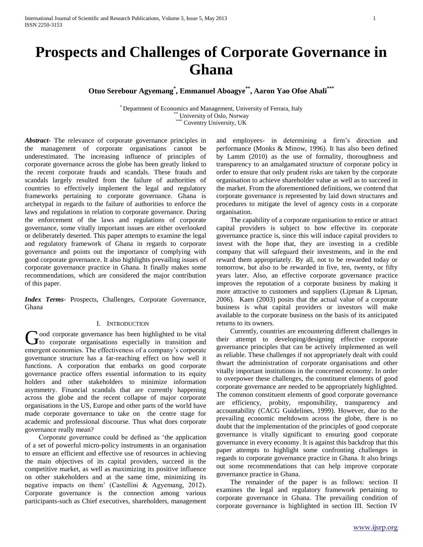# **Prospects and Challenges of Corporate Governance in Ghana**

**Otuo Serebour Agyemang\* , Emmanuel Aboagye\*\* , Aaron Yao Ofoe Ahali\*\*\***

\* Department of Economics and Management, University of Ferrara, Italy \*\* University of Oslo, Norway \*\*\* Coventry University, UK

*Abstract***-** The relevance of corporate governance principles in the management of corporate organisations cannot be underestimated. The increasing influence of principles of corporate governance across the globe has been greatly linked to the recent corporate frauds and scandals. These frauds and scandals largely resulted from the failure of authorities of countries to effectively implement the legal and regulatory frameworks pertaining to corporate governance. Ghana is archetypal in regards to the failure of authorities to enforce the laws and regulations in relation to corporate governance. During the enforcement of the laws and regulations of corporate governance, some vitally important issues are either overlooked or deliberately deserted. This paper attempts to examine the legal and regulatory framework of Ghana in regards to corporate governance and points out the importance of complying with good corporate governance. It also highlights prevailing issues of corporate governance practice in Ghana. It finally makes some recommendations, which are considered the major contribution of this paper.

*Index Terms*- Prospects, Challenges, Corporate Governance, Ghana

## I. INTRODUCTION

ood corporate governance has been highlighted to be vital Good corporate governance has been highlighted to be vital<br>to corporate organisations especially in transition and emergent economies. The effectiveness of a company's corporate governance structure has a far-reaching effect on how well it functions. A corporation that embarks on good corporate governance practice offers essential information to its equity holders and other stakeholders to minimize information asymmetry. Financial scandals that are currently happening across the globe and the recent collapse of major corporate organisations in the US, Europe and other parts of the world have made corporate governance to take on the centre stage for academic and professional discourse. Thus what does corporate governance really mean?

 Corporate governance could be defined as 'the application of a set of powerful micro-policy instruments in an organisation to ensure an efficient and effective use of resources in achieving the main objectives of its capital providers, succeed in the competitive market, as well as maximizing its positive influence on other stakeholders and at the same time, minimizing its negative impacts on them' (Castellini & Agyemang, 2012). Corporate governance is the connection among various participants-such as Chief executives, shareholders, management

and employees- in determining a firm's direction and performance (Monks & Minow, 1996). It has also been defined by Lamm (2010) as the use of formality, thoroughness and transparency to an amalgamated structure of corporate policy in order to ensure that only prudent risks are taken by the corporate organisation to achieve shareholder value as well as to succeed in the market. From the aforementioned definitions, we contend that corporate governance is represented by laid down structures and procedures to mitigate the level of agency costs in a corporate organisation.

 The capability of a corporate organisation to entice or attract capital providers is subject to how effective its corporate governance practice is, since this will induce capital providers to invest with the hope that, they are investing in a credible company that will safeguard their investments, and in the end reward them appropriately. By all, not to be rewarded today or tomorrow, but also to be rewarded in five, ten, twenty, or fifty years later. Also, an effective corporate governance practice improves the reputation of a corporate business by making it more attractive to customers and suppliers (Lipman & Lipman, 2006). Kaen (2003) posits that the actual value of a corporate business is what capital providers or investors will make available to the corporate business on the basis of its anticipated returns to its owners.

 Currently, countries are encountering different challenges in their attempt to developing/designing effective corporate governance principles that can be actively implemented as well as reliable. These challenges if not appropriately dealt with could thwart the administration of corporate organisations and other vitally important institutions in the concerned economy. In order to overpower these challenges, the constituent elements of good corporate governance are needed to be appropriately highlighted. The common constituent elements of good corporate governance are efficiency, probity, responsibility, transparency and accountability (CACG Guidelines, 1999). However, due to the prevailing economic meltdowns across the globe, there is no doubt that the implementation of the principles of good corporate governance is vitally significant to ensuring good corporate governance in every economy. It is against this backdrop that this paper attempts to highlight some confronting challenges in regards to corporate governance practice in Ghana. It also brings out some recommendations that can help improve corporate governance practice in Ghana.

 The remainder of the paper is as follows: section II examines the legal and regulatory framework pertaining to corporate governance in Ghana. The prevailing condition of corporate governance is highlighted in section III. Section IV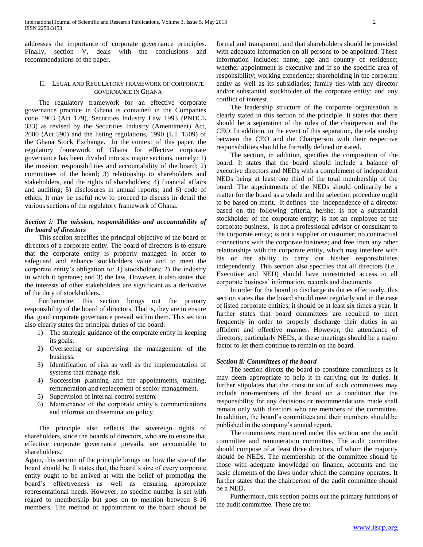addresses the importance of corporate governance principles. Finally, section V, deals with the conclusions and recommendations of the paper.

# II. LEGAL AND REGULATORY FRAMEWORK OF CORPORATE GOVERNANCE IN GHANA

 The regulatory framework for an effective corporate governance practice in Ghana is contained in the Companies code 1963 (Act 179), Securities Industry Law 1993 (PNDCL 333) as revised by the Securities Industry (Amendment) Act, 2000 (Act 590) and the listing regulations, 1990 (L.I. 1509) of the Ghana Stock Exchange. In the context of this paper, the regulatory framework of Ghana for effective corporate governance has been divided into six major sections, namely: 1) the mission, responsibilities and accountability of the board; 2) committees of the board; 3) relationship to shareholders and stakeholders, and the rights of shareholders; 4) financial affairs and auditing; 5) disclosures in annual reports; and 6) code of ethics. It may be useful now to proceed to discuss in detail the various sections of the regulatory framework of Ghana.

# *Section i: The mission, responsibilities and accountability of the board of directors*

 This section specifies the principal objective of the board of directors of a corporate entity. The board of directors is to ensure that the corporate entity is properly managed in order to safeguard and enhance stockholders value and to meet the corporate entity's obligation to: 1) stockholders; 2) the industry in which it operates; and 3) the law. However, it also states that the interests of other stakeholders are significant as a derivative of the duty of stockholders.

 Furthermore, this section brings out the primary responsibility of the board of directors. That is, they are to ensure that good corporate governance prevail within them. This section also clearly states the principal duties of the board:

- 1) The strategic guidance of the corporate entity in keeping its goals.
- 2) Overseeing or supervising the management of the business.
- 3) Identification of risk as well as the implementation of systems that manage risk.
- 4) Succession planning and the appointments, training, remuneration and replacement of senior management.
- 5) Supervision of internal control system.
- 6) Maintenance of the corporate entity's communications and information dissemination policy.

 The principle also reflects the sovereign rights of shareholders, since the boards of directors, who are to ensure that effective corporate governance prevails, are accountable to shareholders.

Again, this section of the principle brings out how the size of the board should be. It states that, the board's size of every corporate entity ought to be arrived at with the belief of promoting the board's effectiveness as well as ensuring appropriate representational needs. However, no specific number is set with regard to membership but goes on to mention between 8-16 members. The method of appointment to the board should be

formal and transparent, and that shareholders should be provided with adequate information on all persons to be appointed. These information includes: name, age and country of residence; whether appointment is executive and if so the specific area of responsibility; working experience; shareholding in the corporate entity as well as its subsidiaries; family ties with any director and/or substantial stockholder of the corporate entity; and any conflict of interest.

 The leadership structure of the corporate organisation is clearly stated in this section of the principle. It states that there should be a separation of the roles of the chairperson and the CEO. In addition, in the event of this separation, the relationship between the CEO and the Chairperson with their respective responsibilities should be formally defined or stated.

 The section, in addition, specifies the composition of the board. It states that the board should include a balance of executive directors and NEDs with a complement of independent NEDs being at least one third of the total membership of the board. The appointments of the NEDs should ordinarily be a matter for the board as a whole and the selection procedure ought to be based on merit. It defines the independence of a director based on the following criteria, he/she: is not a substantial stockholder of the corporate entity; is not an employee of the corporate business, is not a professional advisor or consultant to the corporate entity; is not a supplier or customer; no contractual connections with the corporate business; and free from any other relationships with the corporate entity, which may interfere with his or her ability to carry out his/her responsibilities independently. This section also specifies that all directors (i.e., Executive and NED) should have unrestricted access to all corporate business' information, records and documents.

 In order for the board to discharge its duties effectively, this section states that the board should meet regularly and in the case of listed corporate entities, it should be at least six times a year. It further states that board committees are required to meet frequently in order to properly discharge their duties in an efficient and effective manner. However, the attendance of directors, particularly NEDs, at these meetings should be a major factor to let them continue to remain on the board.

# *Section ii: Committees of the board*

 The section directs the board to constitute committees as it may deem appropriate to help it in carrying out its duties. It further stipulates that the constitution of such committees may include non-members of the board on a condition that the responsibility for any decisions or recommendations made shall remain only with directors who are members of the committee. In addition, the board's committees and their members should be published in the company's annual report.

 The committees mentioned under this section are: the audit committee and remuneration committee. The audit committee should compose of at least three directors, of whom the majority should be NEDs. The membership of the committee should be those with adequate knowledge on finance, accounts and the basic elements of the laws under which the company operates. It further states that the chairperson of the audit committee should be a NED.

 Furthermore, this section points out the primary functions of the audit committee. These are to: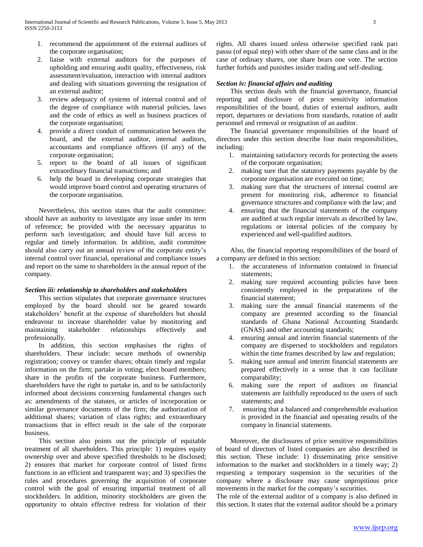- 1. recommend the appointment of the external auditors of the corporate organisation;
- 2. liaise with external auditors for the purposes of upholding and ensuring audit quality, effectiveness, risk assessment/evaluation, interaction with internal auditors and dealing with situations governing the resignation of an external auditor;
- 3. review adequacy of systems of internal control and of the degree of compliance with material policies, laws and the code of ethics as well as business practices of the corporate organisation;
- 4. provide a direct conduit of communication between the board, and the external auditor, internal auditors, accountants and compliance officers (if any) of the corporate organisation;
- 5. report to the board of all issues of significant extraordinary financial transactions; and
- 6. help the board in developing corporate strategies that would improve board control and operating structures of the corporate organisation.

 Nevertheless, this section states that the audit committee: should have an authority to investigate any issue under its term of reference; be provided with the necessary apparatus to perform such investigation; and should have full access to regular and timely information. In addition, audit committee should also carry out an annual review of the corporate entity's internal control over financial, operational and compliance issues and report on the same to shareholders in the annual report of the company.

# *Section iii: relationship to shareholders and stakeholders*

 This section stipulates that corporate governance structures employed by the board should not be geared towards stakeholders' benefit at the expense of shareholders but should endeavour to increase shareholder value by monitoring and maintaining stakeholder relationships effectively and professionally.

 In addition, this section emphasises the rights of shareholders. These include: secure methods of ownership registration; convey or transfer shares; obtain timely and regular information on the firm; partake in voting; elect board members; share in the profits of the corporate business. Furthermore, shareholders have the right to partake in, and to be satisfactorily informed about decisions concerning fundamental changes such as: amendments of the statutes, or articles of incorporation or similar governance documents of the firm; the authorization of additional shares; variation of class rights; and extraordinary transactions that in effect result in the sale of the corporate business.

 This section also points out the principle of equitable treatment of all shareholders. This principle: 1) requires equity ownership over and above specified thresholds to be disclosed; 2) ensures that market for corporate control of listed firms functions in an efficient and transparent way; and 3) specifies the rules and procedures governing the acquisition of corporate control with the goal of ensuring impartial treatment of all stockholders. In addition, minority stockholders are given the opportunity to obtain effective redress for violation of their rights. All shares issued unless otherwise specified rank pari passu (of equal step) with other share of the same class and in the case of ordinary shares, one share bears one vote. The section further forbids and punishes insider trading and self-dealing.

# *Section iv: financial affairs and auditing*

 This section deals with the financial governance, financial reporting and disclosure of price sensitivity information responsibilities of the board, duties of external auditors, audit report, departures or deviations from standards, rotation of audit personnel and removal or resignation of an auditor.

 The financial governance responsibilities of the board of directors under this section describe four main responsibilities, including:

- 1. maintaining satisfactory records for protecting the assets of the corporate organisation;
- 2. making sure that the statutory payments payable by the corporate organisation are executed on time;
- 3. making sure that the structures of internal control are present for monitoring risk, adherence to financial governance structures and compliance with the law; and
- 4. ensuring that the financial statements of the company are audited at such regular intervals as described by law, regulations or internal policies of the company by experienced and well-qualified auditors.

 Also, the financial reporting responsibilities of the board of a company are defined in this section:

- 1. the accurateness of information contained in financial statements;
- 2. making sure required accounting policies have been consistently employed in the preparations of the financial statement;
- 3. making sure the annual financial statements of the company are presented according to the financial standards of Ghana National Accounting Standards (GNAS) and other accounting standards;
- 4. ensuring annual and interim financial statements of the company are dispersed to stockholders and regulators within the time frames described by law and regulation;
- 5. making sure annual and interim financial statements are prepared effectively in a sense that it can facilitate comparability;
- 6. making sure the report of auditors on financial statements are faithfully reproduced to the users of such statements; and
- 7. ensuring that a balanced and comprehensible evaluation is provided in the financial and operating results of the company in financial statements.

 Moreover, the disclosures of price sensitive responsibilities of board of directors of listed companies are also described in this section. These include: 1) disseminating price sensitive information to the market and stockholders in a timely way; 2) requesting a temporary suspension in the securities of the company where a disclosure may cause unpropitious price movements in the market for the company's securities.

The role of the external auditor of a company is also defined in this section. It states that the external auditor should be a primary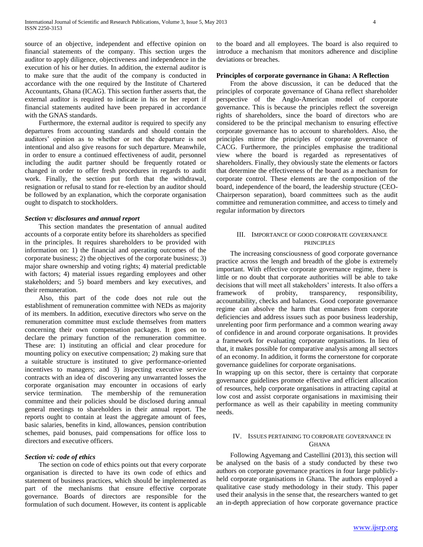source of an objective, independent and effective opinion on financial statements of the company. This section urges the auditor to apply diligence, objectiveness and independence in the execution of his or her duties. In addition, the external auditor is to make sure that the audit of the company is conducted in accordance with the one required by the Institute of Chartered Accountants, Ghana (ICAG). This section further asserts that, the external auditor is required to indicate in his or her report if financial statements audited have been prepared in accordance with the GNAS standards.

 Furthermore, the external auditor is required to specify any departures from accounting standards and should contain the auditors' opinion as to whether or not the departure is not intentional and also give reasons for such departure. Meanwhile, in order to ensure a continued effectiveness of audit, personnel including the audit partner should be frequently rotated or changed in order to offer fresh procedures in regards to audit work. Finally, the section put forth that the withdrawal, resignation or refusal to stand for re-election by an auditor should be followed by an explanation, which the corporate organisation ought to dispatch to stockholders.

#### *Section v: disclosures and annual report*

 This section mandates the presentation of annual audited accounts of a corporate entity before its shareholders as specified in the principles. It requires shareholders to be provided with information on: 1) the financial and operating outcomes of the corporate business; 2) the objectives of the corporate business; 3) major share ownership and voting rights; 4) material predictable with factors; 4) material issues regarding employees and other stakeholders; and 5) board members and key executives, and their remuneration.

 Also, this part of the code does not rule out the establishment of remuneration committee with NEDs as majority of its members. In addition, executive directors who serve on the remuneration committee must exclude themselves from matters concerning their own compensation packages. It goes on to declare the primary function of the remuneration committee. These are: 1) instituting an official and clear procedure for mounting policy on executive compensation; 2) making sure that a suitable structure is instituted to give performance-oriented incentives to managers; and 3) inspecting executive service contracts with an idea of discovering any unwarranted losses the corporate organisation may encounter in occasions of early service termination. The membership of the remuneration committee and their policies should be disclosed during annual general meetings to shareholders in their annual report. The reports ought to contain at least the aggregate amount of fees, basic salaries, benefits in kind, allowances, pension contribution schemes, paid bonuses, paid compensations for office loss to directors and executive officers.

#### *Section vi: code of ethics*

 The section on code of ethics points out that every corporate organisation is directed to have its own code of ethics and statement of business practices, which should be implemented as part of the mechanisms that ensure effective corporate governance. Boards of directors are responsible for the formulation of such document. However, its content is applicable

to the board and all employees. The board is also required to introduce a mechanism that monitors adherence and discipline deviations or breaches.

## **Principles of corporate governance in Ghana: A Reflection**

 From the above discussion, it can be deduced that the principles of corporate governance of Ghana reflect shareholder perspective of the Anglo-American model of corporate governance. This is because the principles reflect the sovereign rights of shareholders, since the board of directors who are considered to be the principal mechanism to ensuring effective corporate governance has to account to shareholders. Also, the principles mirror the principles of corporate governance of CACG. Furthermore, the principles emphasise the traditional view where the board is regarded as representatives of shareholders. Finally, they obviously state the elements or factors that determine the effectiveness of the board as a mechanism for corporate control. These elements are the composition of the board, independence of the board, the leadership structure (CEO-Chairperson separation), board committees such as the audit committee and remuneration committee, and access to timely and regular information by directors

## III. IMPORTANCE OF GOOD CORPORATE GOVERNANCE PRINCIPLES

 The increasing consciousness of good corporate governance practice across the length and breadth of the globe is extremely important. With effective corporate governance regime, there is little or no doubt that corporate authorities will be able to take decisions that will meet all stakeholders' interests. It also offers a framework of probity, transparency, responsibility, accountability, checks and balances. Good corporate governance regime can absolve the harm that emanates from corporate deficiencies and address issues such as poor business leadership, unrelenting poor firm performance and a common wearing away of confidence in and around corporate organisations. It provides a framework for evaluating corporate organisations. In lieu of that, it makes possible for comparative analysis among all sectors of an economy. In addition, it forms the cornerstone for corporate governance guidelines for corporate organisations.

In wrapping up on this sector, there is certainty that corporate governance guidelines promote effective and efficient allocation of resources, help corporate organisations in attracting capital at low cost and assist corporate organisations in maximising their performance as well as their capability in meeting community needs.

# IV. ISSUES PERTAINING TO CORPORATE GOVERNANCE IN **GHANA**

 Following Agyemang and Castellini (2013), this section will be analysed on the basis of a study conducted by these two authors on corporate governance practices in four large publiclyheld corporate organisations in Ghana. The authors employed a qualitative case study methodology in their study. This paper used their analysis in the sense that, the researchers wanted to get an in-depth appreciation of how corporate governance practice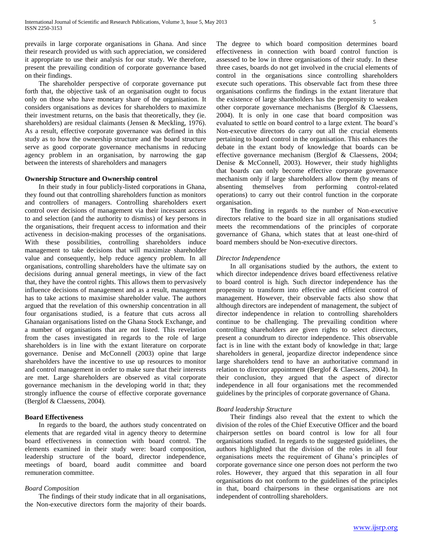prevails in large corporate organisations in Ghana. And since their research provided us with such appreciation, we considered it appropriate to use their analysis for our study. We therefore, present the prevailing condition of corporate governance based on their findings.

 The shareholder perspective of corporate governance put forth that, the objective task of an organisation ought to focus only on those who have monetary share of the organisation. It considers organisations as devices for shareholders to maximize their investment returns, on the basis that theoretically, they (ie. shareholders) are residual claimants (Jensen & Meckling, 1976). As a result, effective corporate governance was defined in this study as to how the ownership structure and the board structure serve as good corporate governance mechanisms in reducing agency problem in an organisation, by narrowing the gap between the interests of shareholders and managers

# **Ownership Structure and Ownership control**

 In their study in four publicly-listed corporations in Ghana, they found out that controlling shareholders function as monitors and controllers of managers. Controlling shareholders exert control over decisions of management via their incessant access to and selection (and the authority to dismiss) of key persons in the organisations, their frequent access to information and their activeness in decision-making processes of the organisations. With these possibilities, controlling shareholders induce management to take decisions that will maximize shareholder value and consequently, help reduce agency problem. In all organisations, controlling shareholders have the ultimate say on decisions during annual general meetings, in view of the fact that, they have the control rights. This allows them to pervasively influence decisions of management and as a result, management has to take actions to maximise shareholder value. The authors argued that the revelation of this ownership concentration in all four organisations studied, is a feature that cuts across all Ghanaian organisations listed on the Ghana Stock Exchange, and a number of organisations that are not listed. This revelation from the cases investigated in regards to the role of large shareholders is in line with the extant literature on corporate governance. Denise and McConnell (2003) opine that large shareholders have the incentive to use up resources to monitor and control management in order to make sure that their interests are met. Large shareholders are observed as vital corporate governance mechanism in the developing world in that; they strongly influence the course of effective corporate governance (Berglof & Claessens, 2004).

## **Board Effectiveness**

 In regards to the board, the authors study concentrated on elements that are regarded vital in agency theory to determine board effectiveness in connection with board control. The elements examined in their study were: board composition, leadership structure of the board, director independence, meetings of board, board audit committee and board remuneration committee.

#### *Board Composition*

 The findings of their study indicate that in all organisations, the Non-executive directors form the majority of their boards. The degree to which board composition determines board effectiveness in connection with board control function is assessed to be low in three organisations of their study. In these three cases, boards do not get involved in the crucial elements of control in the organisations since controlling shareholders execute such operations. This observable fact from these three organisations confirms the findings in the extant literature that the existence of large shareholders has the propensity to weaken other corporate governance mechanisms (Berglof & Claessens, 2004). It is only in one case that board composition was evaluated to settle on board control to a large extent. The board's Non-executive directors do carry out all the crucial elements pertaining to board control in the organisation. This enhances the debate in the extant body of knowledge that boards can be effective governance mechanism (Berglof & Claessens, 2004; Denise & McConnell, 2003). However, their study highlights that boards can only become effective corporate governance mechanism only if large shareholders allow them (by means of absenting themselves from performing control-related operations) to carry out their control function in the corporate organisation.

 The finding in regards to the number of Non-executive directors relative to the board size in all organisations studied meets the recommendations of the principles of corporate governance of Ghana, which states that at least one-third of board members should be Non-executive directors.

## *Director Independence*

 In all organisations studied by the authors, the extent to which director independence drives board effectiveness relative to board control is high. Such director independence has the propensity to transform into effective and efficient control of management. However, their observable facts also show that although directors are independent of management, the subject of director independence in relation to controlling shareholders continue to be challenging. The prevailing condition where controlling shareholders are given rights to select directors, present a conundrum to director independence. This observable fact is in line with the extant body of knowledge in that; large shareholders in general, jeopardize director independence since large shareholders tend to have an authoritative command in relation to director appointment (Berglof & Claessens, 2004). In their conclusion, they argued that the aspect of director independence in all four organisations met the recommended guidelines by the principles of corporate governance of Ghana.

#### *Board leadership Structure*

 Their findings also reveal that the extent to which the division of the roles of the Chief Executive Officer and the board chairperson settles on board control is low for all four organisations studied. In regards to the suggested guidelines, the authors highlighted that the division of the roles in all four organisations meets the requirement of Ghana's principles of corporate governance since one person does not perform the two roles. However, they argued that this separation in all four organisations do not conform to the guidelines of the principles in that, board chairpersons in these organisations are not independent of controlling shareholders.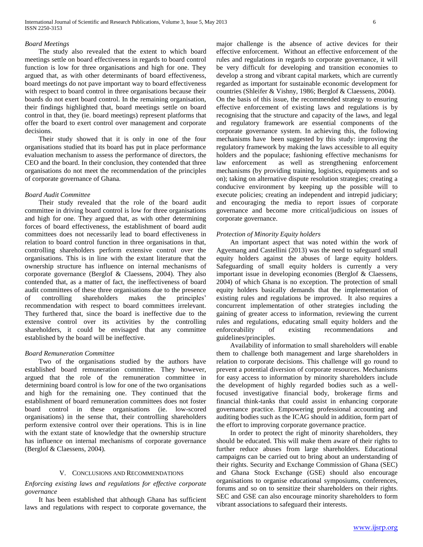#### *Board Meetings*

 The study also revealed that the extent to which board meetings settle on board effectiveness in regards to board control function is low for three organisations and high for one. They argued that, as with other determinants of board effectiveness, board meetings do not pave important way to board effectiveness with respect to board control in three organisations because their boards do not exert board control. In the remaining organisation, their findings highlighted that, board meetings settle on board control in that, they (ie. board meetings) represent platforms that offer the board to exert control over management and corporate decisions.

 Their study showed that it is only in one of the four organisations studied that its board has put in place performance evaluation mechanism to assess the performance of directors, the CEO and the board. In their conclusion, they contended that three organisations do not meet the recommendation of the principles of corporate governance of Ghana.

## *Board Audit Committee*

 Their study revealed that the role of the board audit committee in driving board control is low for three organisations and high for one. They argued that, as with other determining forces of board effectiveness, the establishment of board audit committees does not necessarily lead to board effectiveness in relation to board control function in three organisations in that, controlling shareholders perform extensive control over the organisations. This is in line with the extant literature that the ownership structure has influence on internal mechanisms of corporate governance (Berglof & Claessens, 2004). They also contended that, as a matter of fact, the ineffectiveness of board audit committees of these three organisations due to the presence of controlling shareholders makes the principles' recommendation with respect to board committees irrelevant. They furthered that, since the board is ineffective due to the extensive control over its activities by the controlling shareholders, it could be envisaged that any committee established by the board will be ineffective.

## *Board Remuneration Committee*

 Two of the organisations studied by the authors have established board remuneration committee. They however, argued that the role of the remuneration committee in determining board control is low for one of the two organisations and high for the remaining one. They continued that the establishment of board remuneration committees does not foster board control in these organisations (ie. low-scored organisations) in the sense that, their controlling shareholders perform extensive control over their operations. This is in line with the extant state of knowledge that the ownership structure has influence on internal mechanisms of corporate governance (Berglof & Claessens, 2004).

#### V. CONCLUSIONS AND RECOMMENDATIONS

*Enforcing existing laws and regulations for effective corporate governance*

 It has been established that although Ghana has sufficient laws and regulations with respect to corporate governance, the major challenge is the absence of active devices for their effective enforcement. Without an effective enforcement of the rules and regulations in regards to corporate governance, it will be very difficult for developing and transition economies to develop a strong and vibrant capital markets, which are currently regarded as important for sustainable economic development for countries (Shleifer & Vishny, 1986; Berglof & Claessens, 2004). On the basis of this issue, the recommended strategy to ensuring effective enforcement of existing laws and regulations is by recognising that the structure and capacity of the laws, and legal and regulatory framework are essential components of the corporate governance system. In achieving this, the following mechanisms have been suggested by this study: improving the regulatory framework by making the laws accessible to all equity holders and the populace; fashioning effective mechanisms for law enforcement as well as strengthening enforcement mechanisms (by providing training, logistics, equipments and so on); taking on alternative dispute resolution strategies; creating a conducive environment by keeping up the possible will to execute policies; creating an independent and intrepid judiciary; and encouraging the media to report issues of corporate governance and become more critical/judicious on issues of corporate governance.

## *Protection of Minority Equity holders*

 An important aspect that was noted within the work of Agyemang and Castellini (2013) was the need to safeguard small equity holders against the abuses of large equity holders. Safeguarding of small equity holders is currently a very important issue in developing economies (Berglof & Claessens, 2004) of which Ghana is no exception. The protection of small equity holders basically demands that the implementation of existing rules and regulations be improved. It also requires a concurrent implementation of other strategies including the gaining of greater access to information, reviewing the current rules and regulations, educating small equity holders and the enforceability of existing recommendations and guidelines/principles.

 Availability of information to small shareholders will enable them to challenge both management and large shareholders in relation to corporate decisions. This challenge will go round to prevent a potential diversion of corporate resources. Mechanisms for easy access to information by minority shareholders include the development of highly regarded bodies such as a wellfocused investigative financial body, brokerage firms and financial think-tanks that could assist in enhancing corporate governance practice. Empowering professional accounting and auditing bodies such as the ICAG should in addition, form part of the effort to improving corporate governance practice.

 In order to protect the right of minority shareholders, they should be educated. This will make them aware of their rights to further reduce abuses from large shareholders. Educational campaigns can be carried out to bring about an understanding of their rights. Security and Exchange Commission of Ghana (SEC) and Ghana Stock Exchange (GSE) should also encourage organisations to organise educational symposiums, conferences, forums and so on to sensitize their shareholders on their rights. SEC and GSE can also encourage minority shareholders to form vibrant associations to safeguard their interests.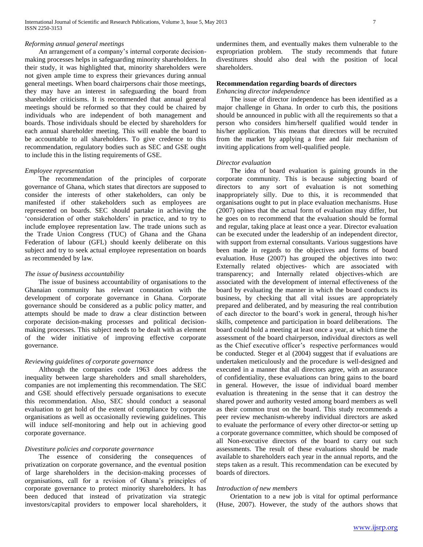# *Reforming annual general meetings*

 An arrangement of a company's internal corporate decisionmaking processes helps in safeguarding minority shareholders. In their study, it was highlighted that, minority shareholders were not given ample time to express their grievances during annual general meetings. When board chairpersons chair those meetings, they may have an interest in safeguarding the board from shareholder criticisms. It is recommended that annual general meetings should be reformed so that they could be chaired by individuals who are independent of both management and boards. Those individuals should be elected by shareholders for each annual shareholder meeting. This will enable the board to be accountable to all shareholders. To give credence to this recommendation, regulatory bodies such as SEC and GSE ought to include this in the listing requirements of GSE.

## *Employee representation*

 The recommendation of the principles of corporate governance of Ghana, which states that directors are supposed to consider the interests of other stakeholders, can only be manifested if other stakeholders such as employees are represented on boards. SEC should partake in achieving the 'consideration of other stakeholders' in practice, and to try to include employee representation law. The trade unions such as the Trade Union Congress (TUC) of Ghana and the Ghana Federation of labour (GFL) should keenly deliberate on this subject and try to seek actual employee representation on boards as recommended by law.

## *The issue of business accountability*

 The issue of business accountability of organisations to the Ghanaian community has relevant connotation with the development of corporate governance in Ghana. Corporate governance should be considered as a public policy matter, and attempts should be made to draw a clear distinction between corporate decision-making processes and political decisionmaking processes. This subject needs to be dealt with as element of the wider initiative of improving effective corporate governance.

## *Reviewing guidelines of corporate governance*

 Although the companies code 1963 does address the inequality between large shareholders and small shareholders, companies are not implementing this recommendation. The SEC and GSE should effectively persuade organisations to execute this recommendation. Also, SEC should conduct a seasonal evaluation to get hold of the extent of compliance by corporate organisations as well as occasionally reviewing guidelines. This will induce self-monitoring and help out in achieving good corporate governance.

## *Divestiture policies and corporate governance*

 The essence of considering the consequences of privatization on corporate governance, and the eventual position of large shareholders in the decision-making processes of organisations, call for a revision of Ghana's principles of corporate governance to protect minority shareholders. It has been deduced that instead of privatization via strategic investors/capital providers to empower local shareholders, it undermines them, and eventually makes them vulnerable to the expropriation problem. The study recommends that future divestitures should also deal with the position of local shareholders.

# **Recommendation regarding boards of directors**

# *Enhancing director independence*

 The issue of director independence has been identified as a major challenge in Ghana. In order to curb this, the positions should be announced in public with all the requirements so that a person who considers him/herself qualified would tender in his/her application. This means that directors will be recruited from the market by applying a free and fair mechanism of inviting applications from well-qualified people.

## *Director evaluation*

 The idea of board evaluation is gaining grounds in the corporate community. This is because subjecting board of directors to any sort of evaluation is not something inappropriately silly. Due to this, it is recommended that organisations ought to put in place evaluation mechanisms. Huse (2007) opines that the actual form of evaluation may differ, but he goes on to recommend that the evaluation should be formal and regular, taking place at least once a year. Director evaluation can be executed under the leadership of an independent director, with support from external consultants. Various suggestions have been made in regards to the objectives and forms of board evaluation. Huse (2007) has grouped the objectives into two: Externally related objectives- which are associated with transparency; and Internally related objectives-which are associated with the development of internal effectiveness of the board by evaluating the manner in which the board conducts its business, by checking that all vital issues are appropriately prepared and deliberated, and by measuring the real contribution of each director to the board's work in general, through his/her skills, competence and participation in board deliberations. The board could hold a meeting at least once a year, at which time the assessment of the board chairperson, individual directors as well as the Chief executive officer's respective performances would be conducted. Steger et al (2004) suggest that if evaluations are undertaken meticulously and the procedure is well-designed and executed in a manner that all directors agree, with an assurance of confidentiality, these evaluations can bring gains to the board in general. However, the issue of individual board member evaluation is threatening in the sense that it can destroy the shared power and authority vested among board members as well as their common trust on the board. This study recommends a peer review mechanism-whereby individual directors are asked to evaluate the performance of every other director-or setting up a corporate governance committee, which should be composed of all Non-executive directors of the board to carry out such assessments. The result of these evaluations should be made available to shareholders each year in the annual reports, and the steps taken as a result. This recommendation can be executed by boards of directors.

#### *Introduction of new members*

 Orientation to a new job is vital for optimal performance (Huse, 2007). However, the study of the authors shows that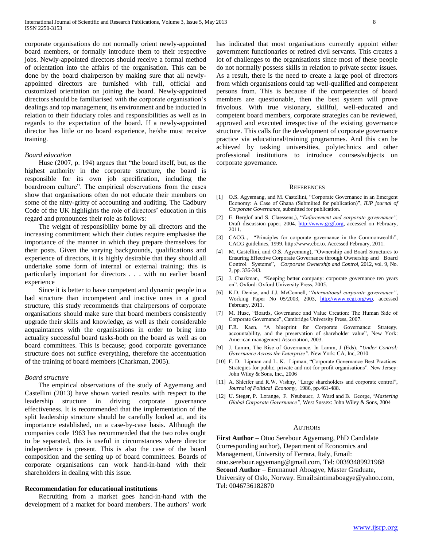corporate organisations do not normally orient newly-appointed board members, or formally introduce them to their respective jobs. Newly-appointed directors should receive a formal method of orientation into the affairs of the organisation. This can be done by the board chairperson by making sure that all newlyappointed directors are furnished with full, official and customized orientation on joining the board. Newly-appointed directors should be familiarised with the corporate organisation's dealings and top management, its environment and be inducted in relation to their fiduciary roles and responsibilities as well as in regards to the expectation of the board. If a newly-appointed director has little or no board experience, he/she must receive training.

## *Board education*

 Huse (2007, p. 194) argues that "the board itself, but, as the highest authority in the corporate structure, the board is responsible for its own job specification, including the boardroom culture". The empirical observations from the cases show that organisations often do not educate their members on some of the nitty-gritty of accounting and auditing. The Cadbury Code of the UK highlights the role of directors' education in this regard and pronounces their role as follows:

 The weight of responsibility borne by all directors and the increasing commitment which their duties require emphasise the importance of the manner in which they prepare themselves for their posts. Given the varying backgrounds, qualifications and experience of directors, it is highly desirable that they should all undertake some form of internal or external training; this is particularly important for directors . . . with no earlier board experience

 Since it is better to have competent and dynamic people in a bad structure than incompetent and inactive ones in a good structure, this study recommends that chairpersons of corporate organisations should make sure that board members consistently upgrade their skills and knowledge, as well as their considerable acquaintances with the organisations in order to bring into actuality successful board tasks-both on the board as well as on board committees. This is because; good corporate governance structure does not suffice everything, therefore the accentuation of the training of board members (Charkman, 2005).

#### *Board structure*

 The empirical observations of the study of Agyemang and Castellini (2013) have shown varied results with respect to the leadership structure in driving corporate governance effectiveness. It is recommended that the implementation of the split leadership structure should be carefully looked at, and its importance established, on a case-by-case basis. Although the companies code 1963 has recommended that the two roles ought to be separated, this is useful in circumstances where director independence is present. This is also the case of the board composition and the setting up of board committees. Boards of corporate organisations can work hand-in-hand with their shareholders in dealing with this issue.

## **Recommendation for educational institutions**

 Recruiting from a market goes hand-in-hand with the development of a market for board members. The authors' work has indicated that most organisations currently appoint either government functionaries or retired civil servants. This creates a lot of challenges to the organisations since most of these people do not normally possess skills in relation to private sector issues. As a result, there is the need to create a large pool of directors from which organisations could tap well-qualified and competent persons from. This is because if the competencies of board members are questionable, then the best system will prove frivolous. With true visionary, skillful, well-educated and competent board members, corporate strategies can be reviewed, approved and executed irrespective of the existing governance structure. This calls for the development of corporate governance practice via educational/training programmes. And this can be achieved by tasking universities, polytechnics and other professional institutions to introduce courses/subjects on corporate governance.

#### **REFERENCES**

- [1] O.S. Agyemang, and M. Castellini, "Corporate Governance in an Emergent Economy: A Case of Ghana (Submiited for publication)", *IUP journal of Corporate Governance,* submitted for publication.
- [2] E. Berglof and S. Claessens,), "*Enforcement and corporate governance",*  Draft discussion paper, 2004. [http://www.gcgf.org,](http://www.gcgf.org/) accessed on February, 2011.
- [3] CACG.., "Principles for corporate governance in the Commonwealth", CACG guidelines, 1999. http://www.cbc.to. Accessed February, 2011.
- [4] M. Castellini, and O.S. Agyemang), "Ownership and Board Structures to Ensuring Effective Corporate Governance through Ownership and Board Control Systems", *Corporate Ownership and Control*, 2012, vol. 9, No. 2, pp. 336-343.
- [5] J. Charkman, "Keeping better company: corporate governance ten years on". Oxford: Oxford University Press, 2005.
- [6] K.D. Denise, and J.J. McConnell, "*International corporate governance"*, Working Paper No 05/2003, 2003, [http://www.ecgi.org/wp,](http://www.ecgi.org/wp) accessed February, 2011.
- [7] M. Huse, "Boards, Governance and Value Creation: The Human Side of Corporate Governance", Cambridge University Press, 2007.
- [8] F.R. Kaen, "A blueprint for Corporate Governance: Strategy, accountability, and the preservation of shareholder value", New York: American management Association, 2003.
- [9] J. Lamm, The Rise of Governance. In Lamm, J (Eds). "*Under Control: Governance Across the Enterprise"*. New York: CA, Inc, 2010
- [10] F. D. Lipman and L. K. Lipman, "Corporate Governance Best Practices: Strategies for public, private and not-for-profit organisations". New Jersey: John Wiley & Sons, Inc., 2006
- [11] A. Shleifer and R.W. Vishny, "Large shareholders and corporate control", *Journal of Political Economy*, 1986, pp.461-488.
- [12] U. Steger, P. Lorange, F. Neubauer, J. Ward and B. George, "*Mastering Global Corporate Governance",* West Sussex: John Wiley & Sons, 2004

#### AUTHORS

**First Author** – Otuo Serebour Agyemang, PhD Candidate (corresponding author), Department of Economics and Management, University of Ferrara, Italy, Email: otuo.serebour.agyemang@gmail.com, Tel: 00393489921968 **Second Author** – Emmanuel Aboagye, Master Graduate, University of Oslo, Norway. Email:sintimaboagye@yahoo.com, Tel: 0046736182870